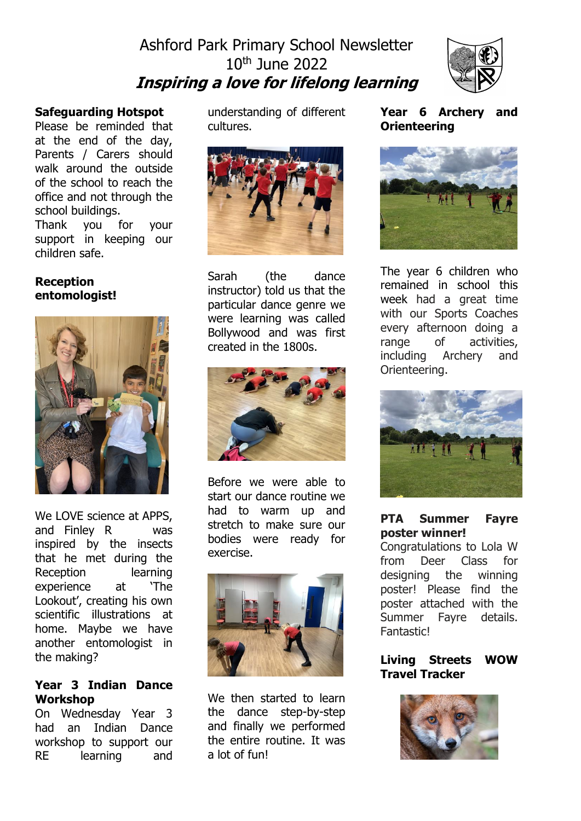# Ashford Park Primary School Newsletter 10th June 2022 **Inspiring a love for lifelong learning**



#### **Safeguarding Hotspot**

Please be reminded that at the end of the day, Parents / Carers should walk around the outside of the school to reach the office and not through the school buildings.

Thank you for your support in keeping our children safe.

#### **Reception entomologist!**



We LOVE science at APPS, and Finley R was inspired by the insects that he met during the Reception learning experience at 'The Lookout', creating his own scientific illustrations at home. Maybe we have another entomologist in the making?

#### **Year 3 Indian Dance Workshop**

On Wednesday Year 3 had an Indian Dance workshop to support our RE learning and

understanding of different cultures.



Sarah (the dance instructor) told us that the particular dance genre we were learning was called Bollywood and was first created in the 1800s.



Before we were able to start our dance routine we had to warm up and stretch to make sure our bodies were ready for exercise.



We then started to learn the dance step-by-step and finally we performed the entire routine. It was a lot of fun!

**Year 6 Archery and Orienteering** 



The year 6 children who remained in school this week had a great time with our Sports Coaches every afternoon doing a range of activities. including Archery and Orienteering.



## **PTA Summer Fayre poster winner!**

Congratulations to Lola W from Deer Class for designing the winning poster! Please find the poster attached with the Summer Fayre details. Fantastic!

# **Living Streets WOW Travel Tracker**